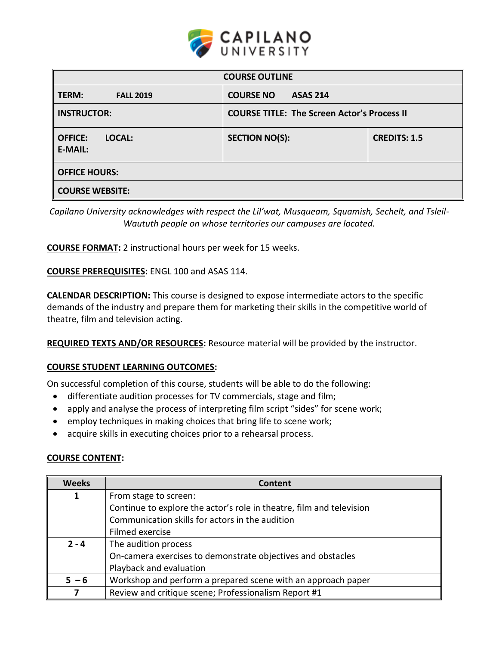

| <b>COURSE OUTLINE</b>                      |                                                    |                     |  |  |
|--------------------------------------------|----------------------------------------------------|---------------------|--|--|
| TERM:<br><b>FALL 2019</b>                  | <b>COURSE NO</b><br><b>ASAS 214</b>                |                     |  |  |
| <b>INSTRUCTOR:</b>                         | <b>COURSE TITLE: The Screen Actor's Process II</b> |                     |  |  |
| LOCAL:<br><b>OFFICE:</b><br><b>E-MAIL:</b> | <b>SECTION NO(S):</b>                              | <b>CREDITS: 1.5</b> |  |  |
| <b>OFFICE HOURS:</b>                       |                                                    |                     |  |  |
| <b>COURSE WEBSITE:</b>                     |                                                    |                     |  |  |

*Capilano University acknowledges with respect the Lil'wat, Musqueam, Squamish, Sechelt, and Tsleil-Waututh people on whose territories our campuses are located.*

**COURSE FORMAT:** 2 instructional hours per week for 15 weeks.

**COURSE PREREQUISITES:** ENGL 100 and ASAS 114.

**CALENDAR DESCRIPTION:** This course is designed to expose intermediate actors to the specific demands of the industry and prepare them for marketing their skills in the competitive world of theatre, film and television acting.

**REQUIRED TEXTS AND/OR RESOURCES:** Resource material will be provided by the instructor.

#### **COURSE STUDENT LEARNING OUTCOMES:**

On successful completion of this course, students will be able to do the following:

- differentiate audition processes for TV commercials, stage and film;
- apply and analyse the process of interpreting film script "sides" for scene work;
- employ techniques in making choices that bring life to scene work;
- acquire skills in executing choices prior to a rehearsal process.

#### **COURSE CONTENT:**

| <b>Weeks</b> | <b>Content</b>                                                       |  |  |
|--------------|----------------------------------------------------------------------|--|--|
| 1            | From stage to screen:                                                |  |  |
|              | Continue to explore the actor's role in theatre, film and television |  |  |
|              | Communication skills for actors in the audition                      |  |  |
|              | Filmed exercise                                                      |  |  |
| $2 - 4$      | The audition process                                                 |  |  |
|              | On-camera exercises to demonstrate objectives and obstacles          |  |  |
|              | Playback and evaluation                                              |  |  |
| $5 - 6$      | Workshop and perform a prepared scene with an approach paper         |  |  |
|              | Review and critique scene; Professionalism Report #1                 |  |  |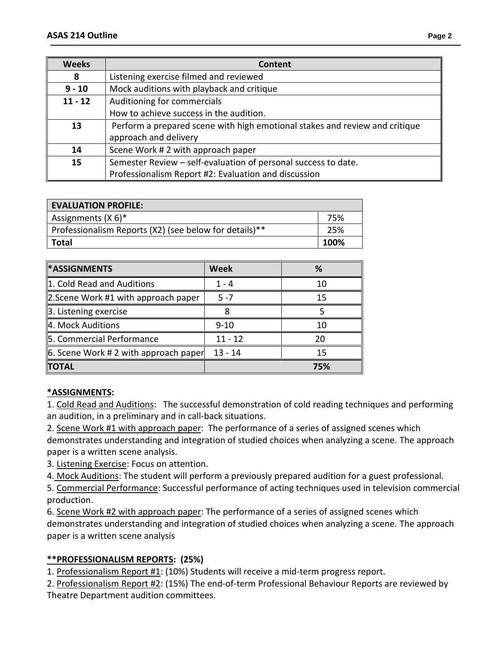| <b>Weeks</b> | <b>Content</b>                                                                                       |  |  |
|--------------|------------------------------------------------------------------------------------------------------|--|--|
| 8            | Listening exercise filmed and reviewed                                                               |  |  |
| $9 - 10$     | Mock auditions with playback and critique                                                            |  |  |
| $11 - 12$    | Auditioning for commercials                                                                          |  |  |
|              | How to achieve success in the audition.                                                              |  |  |
| 13           | Perform a prepared scene with high emotional stakes and review and critique<br>approach and delivery |  |  |
| 14           | Scene Work #2 with approach paper                                                                    |  |  |
| 15           | Semester Review - self-evaluation of personal success to date.                                       |  |  |
|              | Professionalism Report #2: Evaluation and discussion                                                 |  |  |

| <b>EVALUATION PROFILE:</b>                             |      |
|--------------------------------------------------------|------|
| Assignments $(X 6)^*$                                  | 75%  |
| Professionalism Reports (X2) (see below for details)** | 25%  |
| <b>Total</b>                                           | 100% |

| <b>*ASSIGNMENTS</b>                        | Week      | %   |
|--------------------------------------------|-----------|-----|
| 1. Cold Read and Auditions                 | 1 - 4     | 10  |
| 2. Scene Work #1 with approach paper       | $5 - 7$   | 15  |
| 3. Listening exercise                      |           |     |
| 4. Mock Auditions                          | $9 - 10$  | 10  |
| 5. Commercial Performance                  | $11 - 12$ | 20  |
| $\ $ 6. Scene Work # 2 with approach paper | $13 - 14$ | 15  |
| <b>TOTAL</b>                               |           | 75% |

### **\*ASSIGNMENTS:**

1. Cold Read and Auditions: The successful demonstration of cold reading techniques and performing an audition, in a preliminary and in call-back situations.

2. Scene Work #1 with approach paper: The performance of a series of assigned scenes which demonstrates understanding and integration of studied choices when analyzing a scene. The approach paper is a written scene analysis.

3. Listening Exercise: Focus on attention.

4. Mock Auditions: The student will perform a previously prepared audition for a guest professional.

5. Commercial Performance: Successful performance of acting techniques used in television commercial production.

6. Scene Work #2 with approach paper: The performance of a series of assigned scenes which demonstrates understanding and integration of studied choices when analyzing a scene. The approach paper is a written scene analysis

# **\*\*PROFESSIONALISM REPORTS: (25%)**

1. Professionalism Report #1: (10%) Students will receive a mid-term progress report.

2. Professionalism Report #2: (15%) The end-of-term Professional Behaviour Reports are reviewed by Theatre Department audition committees.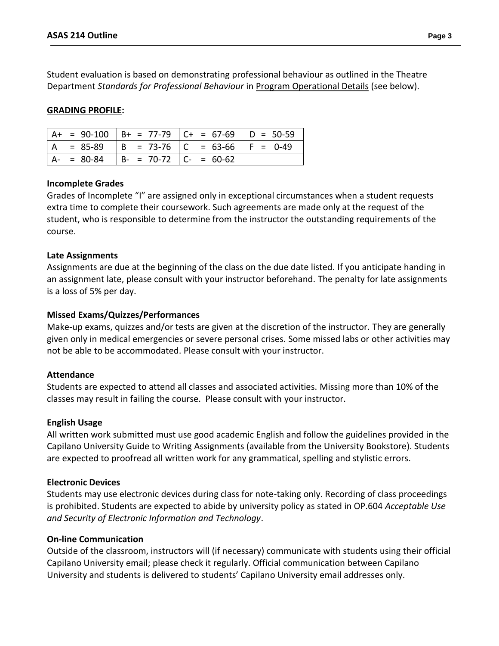Student evaluation is based on demonstrating professional behaviour as outlined in the Theatre Department *Standards for Professional Behaviour* in Program Operational Details (see below).

### **GRADING PROFILE:**

|             |                                       | $A+ = 90-100$ $B+ = 77-79$ $C+ = 67-69$ $D = 50-59$ |  |
|-------------|---------------------------------------|-----------------------------------------------------|--|
|             |                                       | $ A = 85-89$ $ B = 73-76$ $ C = 63-66$ $ F = 0-49$  |  |
| $A - 80-84$ | $\vert$ B- = 70-72 $\vert$ C- = 60-62 |                                                     |  |

#### **Incomplete Grades**

Grades of Incomplete "I" are assigned only in exceptional circumstances when a student requests extra time to complete their coursework. Such agreements are made only at the request of the student, who is responsible to determine from the instructor the outstanding requirements of the course.

### **Late Assignments**

Assignments are due at the beginning of the class on the due date listed. If you anticipate handing in an assignment late, please consult with your instructor beforehand. The penalty for late assignments is a loss of 5% per day.

### **Missed Exams/Quizzes/Performances**

Make-up exams, quizzes and/or tests are given at the discretion of the instructor. They are generally given only in medical emergencies or severe personal crises. Some missed labs or other activities may not be able to be accommodated. Please consult with your instructor.

#### **Attendance**

Students are expected to attend all classes and associated activities. Missing more than 10% of the classes may result in failing the course. Please consult with your instructor.

#### **English Usage**

All written work submitted must use good academic English and follow the guidelines provided in the Capilano University Guide to Writing Assignments (available from the University Bookstore). Students are expected to proofread all written work for any grammatical, spelling and stylistic errors.

### **Electronic Devices**

Students may use electronic devices during class for note-taking only. Recording of class proceedings is prohibited. Students are expected to abide by university policy as stated in OP.604 *Acceptable Use and Security of Electronic Information and Technology*.

#### **On-line Communication**

Outside of the classroom, instructors will (if necessary) communicate with students using their official Capilano University email; please check it regularly. Official communication between Capilano University and students is delivered to students' Capilano University email addresses only.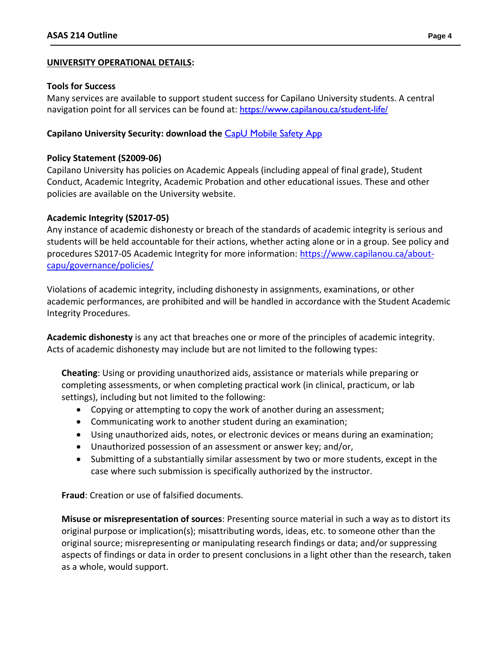#### **UNIVERSITY OPERATIONAL DETAILS:**

#### **Tools for Success**

Many services are available to support student success for Capilano University students. A central navigation point for all services can be found at: <https://www.capilanou.ca/student-life/>

#### **Capilano University Security: download the** [CapU Mobile Safety App](https://www.capilanou.ca/student-life/support--wellness/safety--security/capu-safe-app/)

#### **Policy Statement (S2009-06)**

Capilano University has policies on Academic Appeals (including appeal of final grade), Student Conduct, Academic Integrity, Academic Probation and other educational issues. These and other policies are available on the University website.

#### **Academic Integrity (S2017-05)**

Any instance of academic dishonesty or breach of the standards of academic integrity is serious and students will be held accountable for their actions, whether acting alone or in a group. See policy and procedures S2017-05 Academic Integrity for more information: [https://www.capilanou.ca/about](https://www.capilanou.ca/about-capu/governance/policies/)[capu/governance/policies/](https://www.capilanou.ca/about-capu/governance/policies/)

Violations of academic integrity, including dishonesty in assignments, examinations, or other academic performances, are prohibited and will be handled in accordance with the Student Academic Integrity Procedures.

**Academic dishonesty** is any act that breaches one or more of the principles of academic integrity. Acts of academic dishonesty may include but are not limited to the following types:

**Cheating**: Using or providing unauthorized aids, assistance or materials while preparing or completing assessments, or when completing practical work (in clinical, practicum, or lab settings), including but not limited to the following:

- Copying or attempting to copy the work of another during an assessment;
- Communicating work to another student during an examination;
- Using unauthorized aids, notes, or electronic devices or means during an examination;
- Unauthorized possession of an assessment or answer key; and/or,
- Submitting of a substantially similar assessment by two or more students, except in the case where such submission is specifically authorized by the instructor.

**Fraud**: Creation or use of falsified documents.

**Misuse or misrepresentation of sources**: Presenting source material in such a way as to distort its original purpose or implication(s); misattributing words, ideas, etc. to someone other than the original source; misrepresenting or manipulating research findings or data; and/or suppressing aspects of findings or data in order to present conclusions in a light other than the research, taken as a whole, would support.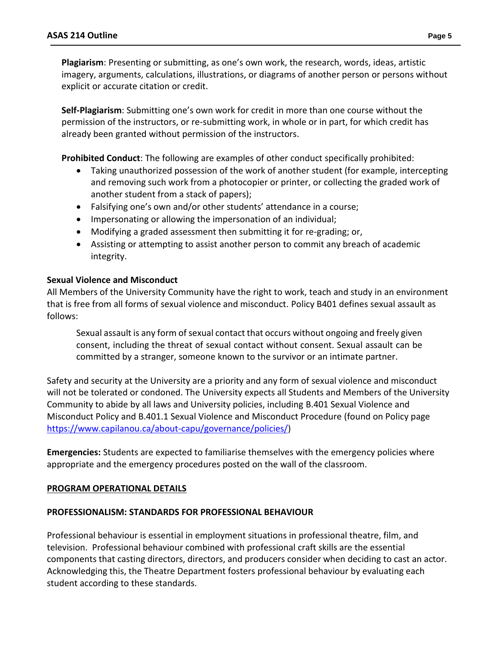**Plagiarism**: Presenting or submitting, as one's own work, the research, words, ideas, artistic imagery, arguments, calculations, illustrations, or diagrams of another person or persons without explicit or accurate citation or credit.

**Self-Plagiarism**: Submitting one's own work for credit in more than one course without the permission of the instructors, or re-submitting work, in whole or in part, for which credit has already been granted without permission of the instructors.

**Prohibited Conduct**: The following are examples of other conduct specifically prohibited:

- Taking unauthorized possession of the work of another student (for example, intercepting and removing such work from a photocopier or printer, or collecting the graded work of another student from a stack of papers);
- Falsifying one's own and/or other students' attendance in a course;
- Impersonating or allowing the impersonation of an individual;
- Modifying a graded assessment then submitting it for re-grading; or,
- Assisting or attempting to assist another person to commit any breach of academic integrity.

#### **Sexual Violence and Misconduct**

All Members of the University Community have the right to work, teach and study in an environment that is free from all forms of sexual violence and misconduct. Policy B401 defines sexual assault as follows:

Sexual assault is any form of sexual contact that occurs without ongoing and freely given consent, including the threat of sexual contact without consent. Sexual assault can be committed by a stranger, someone known to the survivor or an intimate partner.

Safety and security at the University are a priority and any form of sexual violence and misconduct will not be tolerated or condoned. The University expects all Students and Members of the University Community to abide by all laws and University policies, including B.401 Sexual Violence and Misconduct Policy and B.401.1 Sexual Violence and Misconduct Procedure (found on Policy page [https://www.capilanou.ca/about-capu/governance/policies/\)](https://www.capilanou.ca/about-capu/governance/policies/)

**Emergencies:** Students are expected to familiarise themselves with the emergency policies where appropriate and the emergency procedures posted on the wall of the classroom.

#### **PROGRAM OPERATIONAL DETAILS**

#### **PROFESSIONALISM: STANDARDS FOR PROFESSIONAL BEHAVIOUR**

Professional behaviour is essential in employment situations in professional theatre, film, and television. Professional behaviour combined with professional craft skills are the essential components that casting directors, directors, and producers consider when deciding to cast an actor. Acknowledging this, the Theatre Department fosters professional behaviour by evaluating each student according to these standards.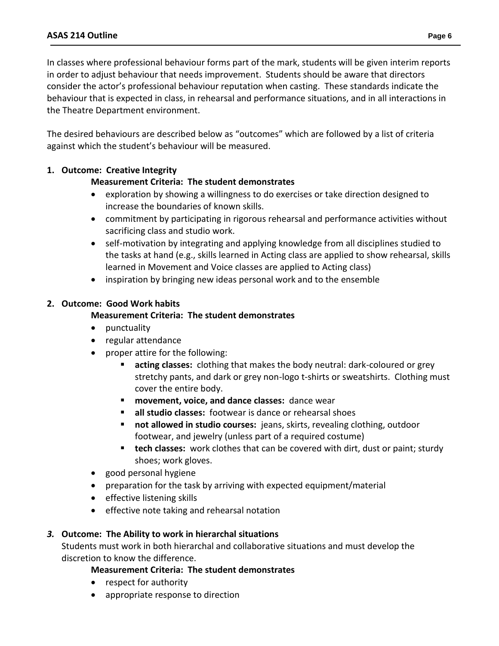In classes where professional behaviour forms part of the mark, students will be given interim reports in order to adjust behaviour that needs improvement. Students should be aware that directors consider the actor's professional behaviour reputation when casting. These standards indicate the behaviour that is expected in class, in rehearsal and performance situations, and in all interactions in the Theatre Department environment.

The desired behaviours are described below as "outcomes" which are followed by a list of criteria against which the student's behaviour will be measured.

# **1. Outcome: Creative Integrity**

# **Measurement Criteria: The student demonstrates**

- exploration by showing a willingness to do exercises or take direction designed to increase the boundaries of known skills.
- commitment by participating in rigorous rehearsal and performance activities without sacrificing class and studio work.
- self-motivation by integrating and applying knowledge from all disciplines studied to the tasks at hand (e.g., skills learned in Acting class are applied to show rehearsal, skills learned in Movement and Voice classes are applied to Acting class)
- inspiration by bringing new ideas personal work and to the ensemble

# **2. Outcome: Good Work habits**

### **Measurement Criteria: The student demonstrates**

- punctuality
- regular attendance
- proper attire for the following:
	- **acting classes:** clothing that makes the body neutral: dark-coloured or grey stretchy pants, and dark or grey non-logo t-shirts or sweatshirts. Clothing must cover the entire body.
	- **movement, voice, and dance classes:** dance wear
	- **all studio classes:** footwear is dance or rehearsal shoes
	- **not allowed in studio courses:** jeans, skirts, revealing clothing, outdoor footwear, and jewelry (unless part of a required costume)
	- **tech classes:** work clothes that can be covered with dirt, dust or paint; sturdy shoes; work gloves.
- good personal hygiene
- preparation for the task by arriving with expected equipment/material
- effective listening skills
- effective note taking and rehearsal notation

### *3.* **Outcome: The Ability to work in hierarchal situations**

Students must work in both hierarchal and collaborative situations and must develop the discretion to know the difference.

### **Measurement Criteria: The student demonstrates**

- respect for authority
- appropriate response to direction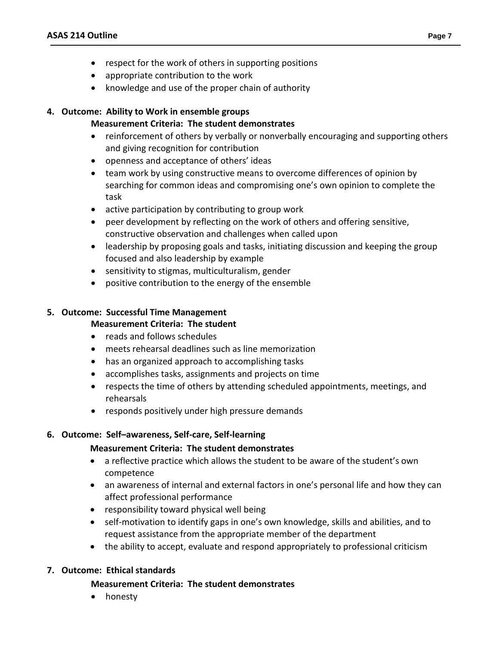- respect for the work of others in supporting positions
- appropriate contribution to the work
- knowledge and use of the proper chain of authority

# **4. Outcome: Ability to Work in ensemble groups**

# **Measurement Criteria: The student demonstrates**

- reinforcement of others by verbally or nonverbally encouraging and supporting others and giving recognition for contribution
- openness and acceptance of others' ideas
- team work by using constructive means to overcome differences of opinion by searching for common ideas and compromising one's own opinion to complete the task
- active participation by contributing to group work
- peer development by reflecting on the work of others and offering sensitive, constructive observation and challenges when called upon
- leadership by proposing goals and tasks, initiating discussion and keeping the group focused and also leadership by example
- sensitivity to stigmas, multiculturalism, gender
- positive contribution to the energy of the ensemble

# **5. Outcome: Successful Time Management**

### **Measurement Criteria: The student**

- reads and follows schedules
- meets rehearsal deadlines such as line memorization
- has an organized approach to accomplishing tasks
- accomplishes tasks, assignments and projects on time
- respects the time of others by attending scheduled appointments, meetings, and rehearsals
- responds positively under high pressure demands

# **6. Outcome: Self–awareness, Self-care, Self-learning**

### **Measurement Criteria: The student demonstrates**

- a reflective practice which allows the student to be aware of the student's own competence
- an awareness of internal and external factors in one's personal life and how they can affect professional performance
- responsibility toward physical well being
- self-motivation to identify gaps in one's own knowledge, skills and abilities, and to request assistance from the appropriate member of the department
- the ability to accept, evaluate and respond appropriately to professional criticism

### **7. Outcome: Ethical standards**

### **Measurement Criteria: The student demonstrates**

• honesty